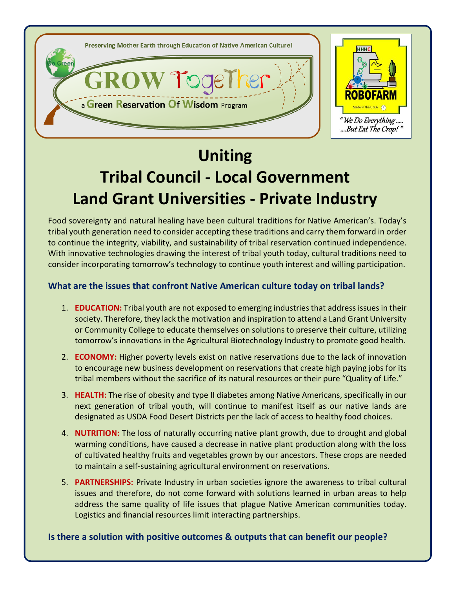

# **Uniting**

# **Tribal Council - Local Government Land Grant Universities - Private Industry**

Food sovereignty and natural healing have been cultural traditions for Native American's. Today's tribal youth generation need to consider accepting these traditions and carry them forward in order to continue the integrity, viability, and sustainability of tribal reservation continued independence. With innovative technologies drawing the interest of tribal youth today, cultural traditions need to consider incorporating tomorrow's technology to continue youth interest and willing participation.

# **What are the issues that confront Native American culture today on tribal lands?**

- 1. **EDUCATION:** Tribal youth are not exposed to emerging industries that address issues in their society. Therefore, they lack the motivation and inspiration to attend a Land Grant University or Community College to educate themselves on solutions to preserve their culture, utilizing tomorrow's innovations in the Agricultural Biotechnology Industry to promote good health.
- 2. **ECONOMY:** Higher poverty levels exist on native reservations due to the lack of innovation to encourage new business development on reservations that create high paying jobs for its tribal members without the sacrifice of its natural resources or their pure "Quality of Life."
- 3. **HEALTH:** The rise of obesity and type II diabetes among Native Americans, specifically in our next generation of tribal youth, will continue to manifest itself as our native lands are designated as USDA Food Desert Districts per the lack of access to healthy food choices.
- 4. **NUTRITION:** The loss of naturally occurring native plant growth, due to drought and global warming conditions, have caused a decrease in native plant production along with the loss of cultivated healthy fruits and vegetables grown by our ancestors. These crops are needed to maintain a self-sustaining agricultural environment on reservations.
- 5. **PARTNERSHIPS:** Private Industry in urban societies ignore the awareness to tribal cultural issues and therefore, do not come forward with solutions learned in urban areas to help address the same quality of life issues that plague Native American communities today. Logistics and financial resources limit interacting partnerships.

**Is there a solution with positive outcomes & outputs that can benefit our people?**

ww.robofarmusa.com HC10 Box 10902, Ely, NV. 89302, Ely, NV. 89301 (775) 293-55676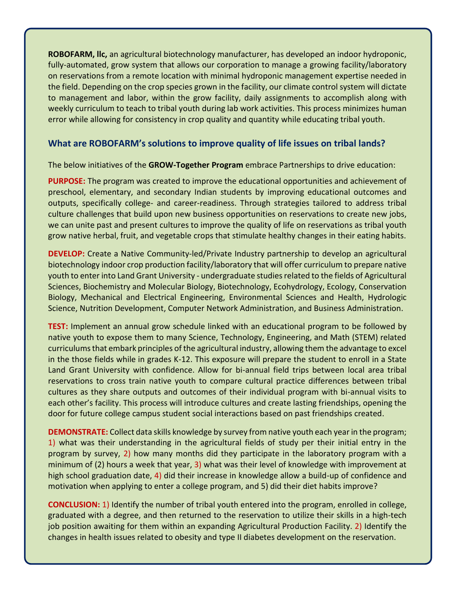**ROBOFARM, llc,** an agricultural biotechnology manufacturer, has developed an indoor hydroponic, fully-automated, grow system that allows our corporation to manage a growing facility/laboratory on reservations from a remote location with minimal hydroponic management expertise needed in the field. Depending on the crop species grown in the facility, our climate control system will dictate to management and labor, within the grow facility, daily assignments to accomplish along with weekly curriculum to teach to tribal youth during lab work activities. This process minimizes human error while allowing for consistency in crop quality and quantity while educating tribal youth.

#### **What are ROBOFARM's solutions to improve quality of life issues on tribal lands?**

The below initiatives of the **GROW-Together Program** embrace Partnerships to drive education:

**PURPOSE:** The program was created to improve the educational opportunities and achievement of preschool, elementary, and secondary Indian students by improving educational outcomes and outputs, specifically college- and career-readiness. Through strategies tailored to address tribal culture challenges that build upon new business opportunities on reservations to create new jobs, we can unite past and present cultures to improve the quality of life on reservations as tribal youth grow native herbal, fruit, and vegetable crops that stimulate healthy changes in their eating habits.

**DEVELOP:** Create a Native Community-led/Private Industry partnership to develop an agricultural biotechnology indoor crop production facility/laboratory that will offer curriculum to prepare native youth to enter into Land Grant University - undergraduate studies related to the fields of Agricultural Sciences, Biochemistry and Molecular Biology, Biotechnology, Ecohydrology[, Ecology, Conservation](http://www.unr.edu/degrees/ecology-evolution-and-conservation-biology)  [Biology,](http://www.unr.edu/degrees/ecology-evolution-and-conservation-biology) Mechanical and Electrical Engineering, [Environmental Sciences and Health,](http://www.unr.edu/degrees/environmental-sciences-and-health) [Hydrologic](http://www.unr.edu/degrees/hydrologic-science)  [Science,](http://www.unr.edu/degrees/hydrologic-science) [Nutrition](http://www.unr.edu/degrees/nutrition) Development, Computer Network Administration, and Business Administration.

**TEST:** Implement an annual grow schedule linked with an educational program to be followed by native youth to expose them to many Science, Technology, Engineering, and Math (STEM) related curriculums that embark principles of the agricultural industry, allowing them the advantage to excel in the those fields while in grades K-12. This exposure will prepare the student to enroll in a State Land Grant University with confidence. Allow for bi-annual field trips between local area tribal reservations to cross train native youth to compare cultural practice differences between tribal cultures as they share outputs and outcomes of their individual program with bi-annual visits to each other's facility. This process will introduce cultures and create lasting friendships, opening the door for future college campus student social interactions based on past friendships created.

**DEMONSTRATE:** Collect data skills knowledge by survey from native youth each year in the program; 1) what was their understanding in the agricultural fields of study per their initial entry in the program by survey, 2) how many months did they participate in the laboratory program with a minimum of (2) hours a week that year, 3) what was their level of knowledge with improvement at high school graduation date, 4) did their increase in knowledge allow a build-up of confidence and motivation when applying to enter a college program, and 5) did their diet habits improve?

**CONCLUSION:** 1) Identify the number of tribal youth entered into the program, enrolled in college, graduated with a degree, and then returned to the reservation to utilize their skills in a high-tech job position awaiting for them within an expanding Agricultural Production Facility. 2) Identify the changes in health issues related to obesity and type II diabetes development on the reservation.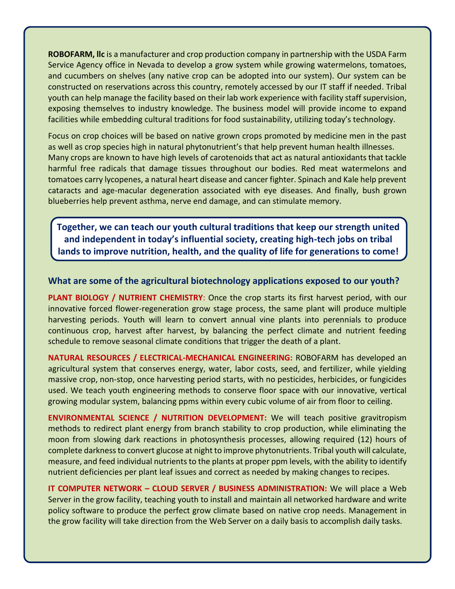**ROBOFARM, llc** is a manufacturer and crop production company in partnership with the USDA Farm Service Agency office in Nevada to develop a grow system while growing watermelons, tomatoes, and cucumbers on shelves (any native crop can be adopted into our system). Our system can be constructed on reservations across this country, remotely accessed by our IT staff if needed. Tribal youth can help manage the facility based on their lab work experience with facility staff supervision, exposing themselves to industry knowledge. The business model will provide income to expand facilities while embedding cultural traditions for food sustainability, utilizing today's technology.

Focus on crop choices will be based on native grown crops promoted by medicine men in the past as well as crop species high in natural phytonutrient's that help prevent human health illnesses. Many crops are known to have high levels of carotenoids that act as natural antioxidants that tackle harmful free radicals that damage tissues throughout our bodies. Red meat watermelons and tomatoes carry lycopenes, a natural heart disease and cancer fighter. Spinach and Kale help prevent cataracts and age-macular degeneration associated with eye diseases. And finally, bush grown blueberries help prevent asthma, nerve end damage, and can stimulate memory.

**Together, we can teach our youth cultural traditions that keep our strength united and independent in today's influential society, creating high-tech jobs on tribal lands to improve nutrition, health, and the quality of life for generations to come!**

#### **What are some of the agricultural biotechnology applications exposed to our youth?**

**PLANT BIOLOGY / NUTRIENT CHEMISTRY**: Once the crop starts its first harvest period, with our innovative forced flower-regeneration grow stage process, the same plant will produce multiple harvesting periods. Youth will learn to convert annual vine plants into perennials to produce continuous crop, harvest after harvest, by balancing the perfect climate and nutrient feeding schedule to remove seasonal climate conditions that trigger the death of a plant.

**NATURAL RESOURCES / ELECTRICAL-MECHANICAL ENGINEERING:** ROBOFARM has developed an agricultural system that conserves energy, water, labor costs, seed, and fertilizer, while yielding massive crop, non-stop, once harvesting period starts, with no pesticides, herbicides, or fungicides used. We teach youth engineering methods to conserve floor space with our innovative, vertical growing modular system, balancing ppms within every cubic volume of air from floor to ceiling.

**ENVIRONMENTAL SCIENCE / NUTRITION DEVELOPMENT:** We will teach positive gravitropism methods to redirect plant energy from branch stability to crop production, while eliminating the moon from slowing dark reactions in photosynthesis processes, allowing required (12) hours of complete darkness to convert glucose at night to improve phytonutrients. Tribal youth will calculate, measure, and feed individual nutrients to the plants at proper ppm levels, with the ability to identify nutrient deficiencies per plant leaf issues and correct as needed by making changes to recipes.

**IT COMPUTER NETWORK – CLOUD SERVER / BUSINESS ADMINISTRATION:** We will place a Web Server in the grow facility, teaching youth to install and maintain all networked hardware and write policy software to produce the perfect grow climate based on native crop needs. Management in the grow facility will take direction from the Web Server on a daily basis to accomplish daily tasks.

ww.robofarmusa.com HC10 Box 10902, Ely, NV. 89301 (775) 293-5567 (775) 293-5567 (775) 293-5567 (775) 293-5567